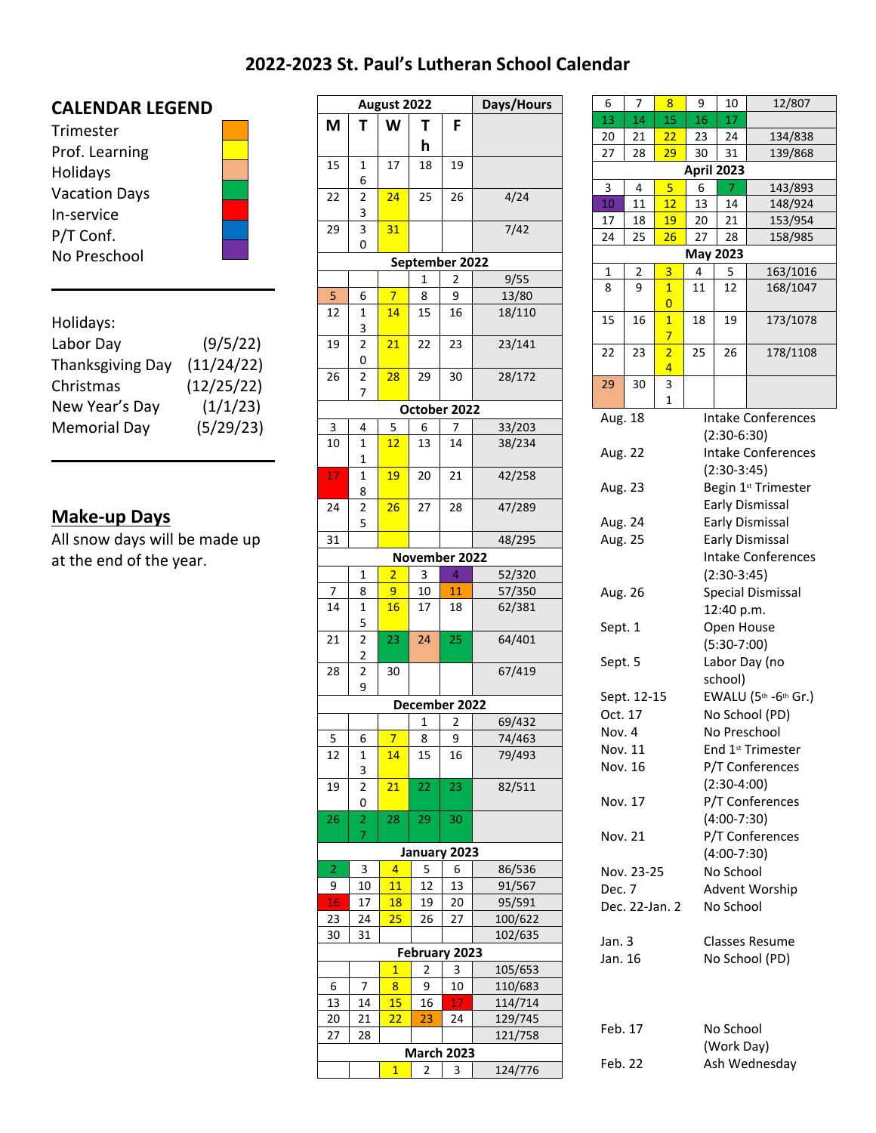## **2022-2023 St. Paul's Lutheran School Calendar**

## **CALENDAR LEGEND**

| Trimester            |  |
|----------------------|--|
| Prof. Learning       |  |
| Holidays             |  |
| <b>Vacation Days</b> |  |
| In-service           |  |
| P/T Conf.            |  |
| No Preschool         |  |

| Holidays:           |            | --  |  |
|---------------------|------------|-----|--|
| Labor Day           | (9/5/22)   | 19  |  |
| Thanksgiving Day    | (11/24/22) |     |  |
| Christmas           | (12/25/22) | 26  |  |
| New Year's Day      | (1/1/23)   |     |  |
| <b>Memorial Day</b> | (5/29/23)  | 3   |  |
|                     |            | 1 ∩ |  |

## **Make-up Days**

All snow days will be made up at the end of the year.

| August 2022    |                                  |                |    |                   | Days/Hours | 6<br>7<br>8 |                |                         |              |
|----------------|----------------------------------|----------------|----|-------------------|------------|-------------|----------------|-------------------------|--------------|
| Μ              | т                                | W              | Τ  | F                 |            | 13          | 14             | 15                      |              |
|                |                                  |                | h  |                   |            | 20          | 21             | 22                      |              |
|                |                                  |                |    |                   |            | 27          | 28             | 29                      |              |
| 15             | 1                                | 17             | 18 | 19                |            |             |                |                         | Αį           |
| 22             | 6<br>$\overline{2}$              | 24             | 25 | 26                | 4/24       | 3           | 4              | 5                       |              |
|                | 3                                |                |    |                   |            | 10          | 11             | 12                      |              |
| 29             | 3                                | 31             |    |                   | 7/42       | 17          | 18             | 19                      |              |
|                | 0                                |                |    |                   |            | 24          | 25             | 26                      |              |
|                |                                  |                |    | September 2022    |            |             |                |                         | M            |
|                |                                  |                | 1  | 2                 | 9/55       | 1           | 2              | $\overline{\mathbf{3}}$ |              |
| 5              | 6                                | $\overline{7}$ | 8  | 9                 | 13/80      | 8           | 9              | $\mathbf{1}$            | 1            |
| 12             | 1                                | 14             | 15 | 16                | 18/110     |             |                | 0                       |              |
|                | 3                                |                |    |                   |            | 15          | 16             | $\mathbf{1}$            | $\mathbf{1}$ |
| 19             | 2                                | 21             | 22 | 23                | 23/141     |             |                | $\overline{7}$          |              |
|                | 0                                |                |    |                   |            | 22          | 23             | $\overline{2}$          | 2            |
| 26             | 2                                | 28             | 29 | 30                | 28/172     |             |                | 4                       |              |
|                | 7                                |                |    |                   |            | 29          | 30             | 3<br>$\mathbf{1}$       |              |
|                |                                  |                |    | October 2022      |            | Aug. 18     |                |                         |              |
| 3              | 4                                | 5              | 6  | 7                 | 33/203     |             |                |                         |              |
| 10             | 1                                | 12             | 13 | 14                | 38/234     | Aug. 22     |                |                         |              |
|                | $\mathbf{1}$                     |                |    |                   |            |             |                |                         |              |
| 17             | 1                                | 19             | 20 | 21                | 42/258     |             |                |                         |              |
|                | 8                                |                |    |                   |            | Aug. 23     |                |                         |              |
| 24             | 2                                | 26             | 27 | 28                | 47/289     |             |                |                         |              |
|                | 5                                |                |    |                   |            | Aug. 24     |                |                         |              |
| 31             |                                  |                |    |                   | 48/295     | Aug. 25     |                |                         |              |
|                |                                  |                |    | November 2022     |            |             |                |                         |              |
|                | 1                                | $\overline{2}$ | 3  | 4                 | 52/320     |             |                |                         |              |
| 7              | 8                                | 9              | 10 | 11                | 57/350     | Aug. 26     |                |                         |              |
| 14             | 1                                | 16             | 17 | 18                | 62/381     |             |                |                         |              |
|                | 5                                |                |    |                   | 64/401     | Sept. 1     |                |                         |              |
| 21             | $\overline{2}$<br>$\overline{2}$ | 23             | 24 | 25                |            |             |                |                         |              |
| 28             | $\overline{2}$                   | 30             |    |                   | 67/419     | Sept. 5     |                |                         |              |
|                | 9                                |                |    |                   |            |             |                |                         |              |
|                |                                  |                |    | December 2022     |            |             | Sept. 12-15    |                         |              |
|                |                                  |                | 1  | 2                 | 69/432     | Oct. 17     |                |                         |              |
| 5              | 6                                | 7.             | 8  | 9                 | 74/463     | Nov. 4      |                |                         |              |
| 12             | 1                                | 14             | 15 | 16                | 79/493     |             | Nov. 11        |                         |              |
|                | 3                                |                |    |                   |            |             | Nov. 16        |                         |              |
| 19             | $\mathbf 2$                      | 21             | 22 | 23                | 82/511     |             |                |                         |              |
|                | 0                                |                |    |                   |            |             | Nov. 17        |                         |              |
| 26             | $\overline{2}$                   | 28             | 29 | 30                |            |             |                |                         |              |
|                | 7                                |                |    |                   |            |             | Nov. 21        |                         |              |
|                |                                  |                |    | January 2023      |            |             |                |                         |              |
| $\overline{2}$ | 3                                | 4              | 5  | 6                 | 86/536     |             | Nov. 23-25     |                         |              |
| 9              | 10                               | 11             | 12 | 13                | 91/567     | Dec. 7      |                |                         |              |
| 16             | 17                               | 18             | 19 | 20                | 95/591     |             | Dec. 22-Jan. 2 |                         |              |
| 23             | 24                               | 25             | 26 | 27                | 100/622    |             |                |                         |              |
| 30             | 31                               |                |    |                   | 102/635    | Jan. 3      |                |                         |              |
|                |                                  |                |    | February 2023     |            | Jan. 16     |                |                         |              |
|                |                                  | $\mathbf{1}$   | 2  | 3                 | 105/653    |             |                |                         |              |
| 6              | 7                                | 8              | 9  | 10                | 110/683    |             |                |                         |              |
| 13             | 14                               | 15             | 16 | 17                | 114/714    |             |                |                         |              |
| 20             | 21                               | 22             | 23 | 24                | 129/745    | Feb. 17     |                |                         |              |
| 27             | 28                               |                |    |                   | 121/758    |             |                |                         |              |
|                |                                  |                |    | <b>March 2023</b> |            | Feb. 22     |                |                         |              |
|                |                                  | $\overline{1}$ | 2  | 3                 | 124/776    |             |                |                         |              |

| 6                                                   | 7                               | 8              | 9                        | 10                 | 12/807                          |  |  |  |  |
|-----------------------------------------------------|---------------------------------|----------------|--------------------------|--------------------|---------------------------------|--|--|--|--|
| 13                                                  | 14                              | 15             | 16                       | 17                 |                                 |  |  |  |  |
|                                                     |                                 |                |                          |                    |                                 |  |  |  |  |
| 20                                                  | 21                              | 22             | 23                       | 24                 | 134/838                         |  |  |  |  |
| 29<br>139/868<br>27<br>30<br>31<br>28<br>April 2023 |                                 |                |                          |                    |                                 |  |  |  |  |
|                                                     |                                 |                |                          |                    |                                 |  |  |  |  |
| 3                                                   | 4                               | 5              | 6                        | 7                  | 143/893                         |  |  |  |  |
| 10                                                  | 11                              | 12             | 13                       | 14                 | 148/924                         |  |  |  |  |
| 17                                                  | 18                              | <b>19</b>      | 20                       | 21                 | 153/954                         |  |  |  |  |
| 24<br>26<br>27<br>28<br>25<br>158/985               |                                 |                |                          |                    |                                 |  |  |  |  |
|                                                     | <b>May 2023</b>                 |                |                          |                    |                                 |  |  |  |  |
| 1                                                   | 2                               | 3              | 4                        | 5                  | 163/1016                        |  |  |  |  |
| 8                                                   | 9                               | $\mathbf{1}$   | 11                       | 12                 | 168/1047                        |  |  |  |  |
|                                                     |                                 | 0              |                          |                    |                                 |  |  |  |  |
| 15                                                  | 16                              | $\mathbf{1}$   | 18                       | 19                 | 173/1078                        |  |  |  |  |
|                                                     |                                 | 7              |                          |                    |                                 |  |  |  |  |
| 22                                                  | 23                              | $\overline{2}$ | 25                       | 26                 | 178/1108                        |  |  |  |  |
|                                                     |                                 | 4              |                          |                    |                                 |  |  |  |  |
| 29                                                  | 30                              | 3              |                          |                    |                                 |  |  |  |  |
|                                                     |                                 | 1              |                          |                    |                                 |  |  |  |  |
| Aug. 18                                             |                                 |                |                          |                    | <b>Intake Conferences</b>       |  |  |  |  |
|                                                     |                                 |                |                          | $(2:30-6:30)$      |                                 |  |  |  |  |
| Aug. 22                                             |                                 |                |                          |                    | Intake Conferences              |  |  |  |  |
|                                                     |                                 |                |                          |                    |                                 |  |  |  |  |
|                                                     |                                 |                |                          | $(2:30-3:45)$      |                                 |  |  |  |  |
| Aug. 23                                             |                                 |                |                          |                    | Begin 1 <sup>st</sup> Trimester |  |  |  |  |
|                                                     |                                 |                |                          |                    | <b>Early Dismissal</b>          |  |  |  |  |
| Aug. 24                                             |                                 |                |                          |                    | Early Dismissal                 |  |  |  |  |
| <b>Early Dismissal</b><br>Aug. 25                   |                                 |                |                          |                    |                                 |  |  |  |  |
|                                                     |                                 |                |                          | Intake Conferences |                                 |  |  |  |  |
|                                                     |                                 |                |                          | $(2:30-3:45)$      |                                 |  |  |  |  |
| Aug. 26                                             |                                 |                | <b>Special Dismissal</b> |                    |                                 |  |  |  |  |
|                                                     |                                 |                |                          | 12:40 p.m.         |                                 |  |  |  |  |
|                                                     |                                 |                |                          |                    |                                 |  |  |  |  |
| Sept. 1                                             |                                 |                |                          | Open House         |                                 |  |  |  |  |
| $(5:30-7:00)$                                       |                                 |                |                          |                    |                                 |  |  |  |  |
| Labor Day (no<br>Sept. 5                            |                                 |                |                          |                    |                                 |  |  |  |  |
|                                                     |                                 |                |                          | school)            |                                 |  |  |  |  |
| Sept. 12-15                                         |                                 |                |                          |                    | EWALU (5th -6th Gr.)            |  |  |  |  |
| Oct. 17                                             |                                 |                |                          |                    | No School (PD)                  |  |  |  |  |
| Nov. 4                                              |                                 |                |                          |                    | No Preschool                    |  |  |  |  |
|                                                     |                                 |                |                          |                    |                                 |  |  |  |  |
| Nov. 11                                             |                                 |                |                          |                    | End 1 <sup>st</sup> Trimester   |  |  |  |  |
| Nov. 16                                             |                                 |                | P/T Conferences          |                    |                                 |  |  |  |  |
|                                                     |                                 |                | $(2:30-4:00)$            |                    |                                 |  |  |  |  |
| Nov. 17                                             |                                 |                | P/T Conferences          |                    |                                 |  |  |  |  |
|                                                     |                                 |                | $(4:00-7:30)$            |                    |                                 |  |  |  |  |
| Nov. 21                                             |                                 |                | P/T Conferences          |                    |                                 |  |  |  |  |
|                                                     |                                 |                |                          |                    |                                 |  |  |  |  |
|                                                     |                                 |                | $(4:00-7:30)$            |                    |                                 |  |  |  |  |
|                                                     | No School<br>Nov. 23-25         |                |                          |                    |                                 |  |  |  |  |
|                                                     | Dec. 7<br><b>Advent Worship</b> |                |                          |                    |                                 |  |  |  |  |
| Dec. 22-Jan. 2<br>No School                         |                                 |                |                          |                    |                                 |  |  |  |  |
|                                                     |                                 |                |                          |                    |                                 |  |  |  |  |
| Jan. 3<br>Classes Resume                            |                                 |                |                          |                    |                                 |  |  |  |  |
| Jan. 16<br>No School (PD)                           |                                 |                |                          |                    |                                 |  |  |  |  |
|                                                     |                                 |                |                          |                    |                                 |  |  |  |  |
| Feb. 17                                             |                                 |                |                          | No School          |                                 |  |  |  |  |
|                                                     |                                 |                |                          | (Work Day)         |                                 |  |  |  |  |
|                                                     |                                 |                |                          |                    |                                 |  |  |  |  |
| Ash Wednesday<br>Feb. 22                            |                                 |                |                          |                    |                                 |  |  |  |  |